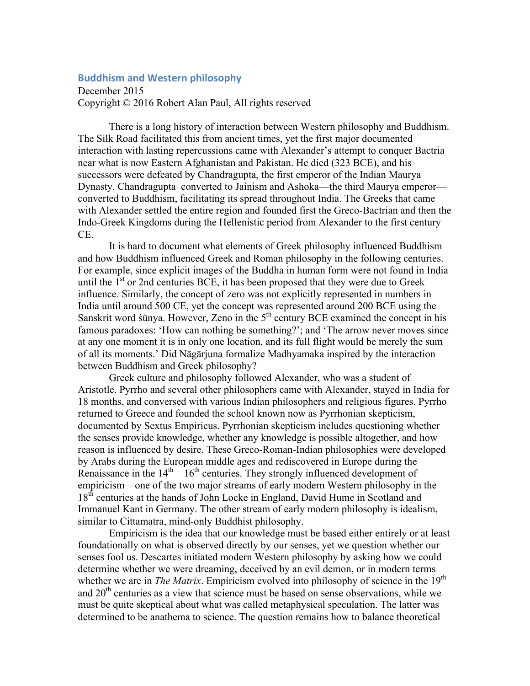## **Buddhism and Western philosophy**

December 2015 Copyright © 2016 Robert Alan Paul, All rights reserved

There is a long history of interaction between Western philosophy and Buddhism. The Silk Road facilitated this from ancient times, yet the first major documented interaction with lasting repercussions came with Alexander's attempt to conquer Bactria near what is now Eastern Afghanistan and Pakistan. He died (323 BCE), and his successors were defeated by Chandragupta, the first emperor of the Indian Maurya Dynasty. Chandragupta converted to Jainism and Ashoka—the third Maurya emperor converted to Buddhism, facilitating its spread throughout India. The Greeks that came with Alexander settled the entire region and founded first the Greco-Bactrian and then the Indo-Greek Kingdoms during the Hellenistic period from Alexander to the first century CE.

It is hard to document what elements of Greek philosophy influenced Buddhism and how Buddhism influenced Greek and Roman philosophy in the following centuries. For example, since explicit images of the Buddha in human form were not found in India until the  $1<sup>st</sup>$  or 2nd centuries BCE, it has been proposed that they were due to Greek influence. Similarly, the concept of zero was not explicitly represented in numbers in India until around 500 CE, yet the concept was represented around 200 BCE using the Sanskrit word śūnya. However, Zeno in the  $5<sup>th</sup>$  century BCE examined the concept in his famous paradoxes: 'How can nothing be something?'; and 'The arrow never moves since at any one moment it is in only one location, and its full flight would be merely the sum of all its moments.' Did Nāgārjuna formalize Madhyamaka inspired by the interaction between Buddhism and Greek philosophy?

Greek culture and philosophy followed Alexander, who was a student of Aristotle. Pyrrho and several other philosophers came with Alexander, stayed in India for 18 months, and conversed with various Indian philosophers and religious figures. Pyrrho returned to Greece and founded the school known now as Pyrrhonian skepticism, documented by Sextus Empiricus. Pyrrhonian skepticism includes questioning whether the senses provide knowledge, whether any knowledge is possible altogether, and how reason is influenced by desire. These Greco-Roman-Indian philosophies were developed by Arabs during the European middle ages and rediscovered in Europe during the Renaissance in the  $14<sup>th</sup> - 16<sup>th</sup>$  centuries. They strongly influenced development of empiricism—one of the two major streams of early modern Western philosophy in the 18<sup>th</sup> centuries at the hands of John Locke in England, David Hume in Scotland and Immanuel Kant in Germany. The other stream of early modern philosophy is idealism, similar to Cittamatra, mind-only Buddhist philosophy.

Empiricism is the idea that our knowledge must be based either entirely or at least foundationally on what is observed directly by our senses, yet we question whether our senses fool us. Descartes initiated modern Western philosophy by asking how we could determine whether we were dreaming, deceived by an evil demon, or in modern terms whether we are in *The Matrix*. Empiricism evolved into philosophy of science in the 19<sup>th</sup> and  $20<sup>th</sup>$  centuries as a view that science must be based on sense observations, while we must be quite skeptical about what was called metaphysical speculation. The latter was determined to be anathema to science. The question remains how to balance theoretical